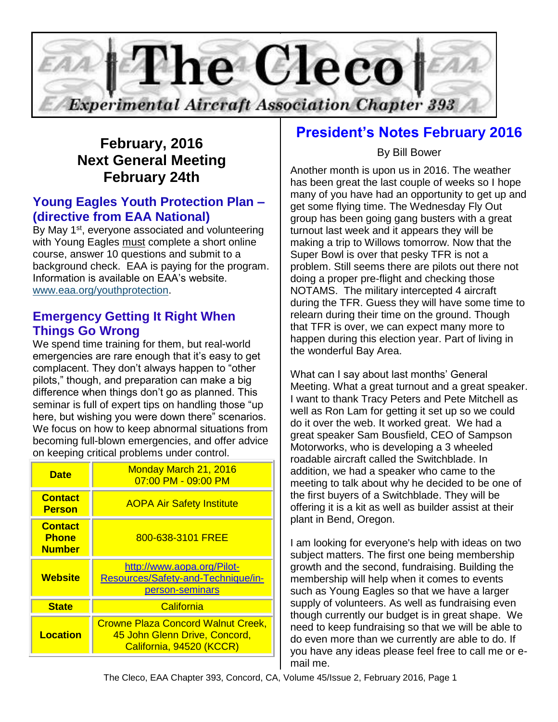

# **February, 2016 Next General Meeting February 24th**

## **Young Eagles Youth Protection Plan – (directive from EAA National)**

By May 1<sup>st</sup>, everyone associated and volunteering with Young Eagles must complete a short online course, answer 10 questions and submit to a background check. EAA is paying for the program. Information is available on EAA's website. [www.eaa.org/youthprotection.](http://www.eaa.org/youthprotection)

## **Emergency Getting It Right When Things Go Wrong**

We spend time training for them, but real-world emergencies are rare enough that it's easy to get complacent. They don't always happen to "other pilots," though, and preparation can make a big difference when things don't go as planned. This seminar is full of expert tips on handling those "up here, but wishing you were down there" scenarios. We focus on how to keep abnormal situations from becoming full-blown emergencies, and offer advice on keeping critical problems under control.

| <b>Date</b>                                     | Monday March 21, 2016<br>07:00 PM - 09:00 PM                                                           |
|-------------------------------------------------|--------------------------------------------------------------------------------------------------------|
| <b>Contact</b><br><b>Person</b>                 | <b>AOPA Air Safety Institute</b>                                                                       |
| <b>Contact</b><br><b>Phone</b><br><b>Number</b> | 800-638-3101 FREE                                                                                      |
| <b>Website</b>                                  | http://www.aopa.org/Pilot-<br>Resources/Safety-and-Technique/in-<br>person-seminars                    |
| <b>State</b>                                    | California                                                                                             |
| <b>Location</b>                                 | <b>Crowne Plaza Concord Walnut Creek,</b><br>45 John Glenn Drive, Concord,<br>California, 94520 (KCCR) |

# **President's Notes February 2016**

## By Bill Bower

Another month is upon us in 2016. The weather has been great the last couple of weeks so I hope many of you have had an opportunity to get up and get some flying time. The Wednesday Fly Out group has been going gang busters with a great turnout last week and it appears they will be making a trip to Willows tomorrow. Now that the Super Bowl is over that pesky TFR is not a problem. Still seems there are pilots out there not doing a proper pre-flight and checking those NOTAMS. The military intercepted 4 aircraft during the TFR. Guess they will have some time to relearn during their time on the ground. Though that TFR is over, we can expect many more to happen during this election year. Part of living in the wonderful Bay Area.

What can I say about last months' General Meeting. What a great turnout and a great speaker. I want to thank Tracy Peters and Pete Mitchell as well as Ron Lam for getting it set up so we could do it over the web. It worked great. We had a great speaker Sam Bousfield, CEO of Sampson Motorworks, who is developing a 3 wheeled roadable aircraft called the Switchblade. In addition, we had a speaker who came to the meeting to talk about why he decided to be one of the first buyers of a Switchblade. They will be offering it is a kit as well as builder assist at their plant in Bend, Oregon.

I am looking for everyone's help with ideas on two subject matters. The first one being membership growth and the second, fundraising. Building the membership will help when it comes to events such as Young Eagles so that we have a larger supply of volunteers. As well as fundraising even though currently our budget is in great shape. We need to keep fundraising so that we will be able to do even more than we currently are able to do. If you have any ideas please feel free to call me or email me.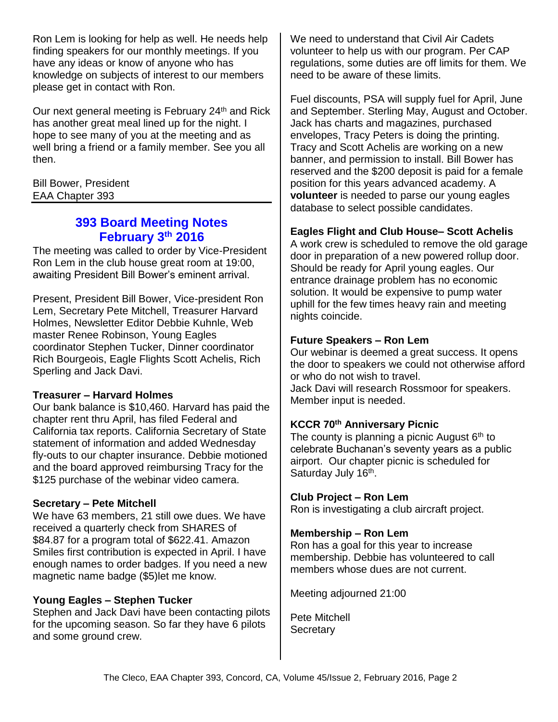Ron Lem is looking for help as well. He needs help finding speakers for our monthly meetings. If you have any ideas or know of anyone who has knowledge on subjects of interest to our members please get in contact with Ron.

Our next general meeting is February 24<sup>th</sup> and Rick has another great meal lined up for the night. I hope to see many of you at the meeting and as well bring a friend or a family member. See you all then.

Bill Bower, President EAA Chapter 393

## **393 Board Meeting Notes February 3 th 2016**

The meeting was called to order by Vice-President Ron Lem in the club house great room at 19:00, awaiting President Bill Bower's eminent arrival.

Present, President Bill Bower, Vice-president Ron Lem, Secretary Pete Mitchell, Treasurer Harvard Holmes, Newsletter Editor Debbie Kuhnle, Web master Renee Robinson, Young Eagles coordinator Stephen Tucker, Dinner coordinator Rich Bourgeois, Eagle Flights Scott Achelis, Rich Sperling and Jack Davi.

#### **Treasurer – Harvard Holmes**

Our bank balance is \$10,460. Harvard has paid the chapter rent thru April, has filed Federal and California tax reports. California Secretary of State statement of information and added Wednesday fly-outs to our chapter insurance. Debbie motioned and the board approved reimbursing Tracy for the \$125 purchase of the webinar video camera.

#### **Secretary – Pete Mitchell**

We have 63 members, 21 still owe dues. We have received a quarterly check from SHARES of \$84.87 for a program total of \$622.41. Amazon Smiles first contribution is expected in April. I have enough names to order badges. If you need a new magnetic name badge (\$5)let me know.

#### **Young Eagles – Stephen Tucker**

Stephen and Jack Davi have been contacting pilots for the upcoming season. So far they have 6 pilots and some ground crew.

We need to understand that Civil Air Cadets volunteer to help us with our program. Per CAP regulations, some duties are off limits for them. We need to be aware of these limits.

Fuel discounts, PSA will supply fuel for April, June and September. Sterling May, August and October. Jack has charts and magazines, purchased envelopes, Tracy Peters is doing the printing. Tracy and Scott Achelis are working on a new banner, and permission to install. Bill Bower has reserved and the \$200 deposit is paid for a female position for this years advanced academy. A **volunteer** is needed to parse our young eagles database to select possible candidates.

### **Eagles Flight and Club House– Scott Achelis**

A work crew is scheduled to remove the old garage door in preparation of a new powered rollup door. Should be ready for April young eagles. Our entrance drainage problem has no economic solution. It would be expensive to pump water uphill for the few times heavy rain and meeting nights coincide.

### **Future Speakers – Ron Lem**

Our webinar is deemed a great success. It opens the door to speakers we could not otherwise afford or who do not wish to travel. Jack Davi will research Rossmoor for speakers. Member input is needed.

## **KCCR 70th Anniversary Picnic**

The county is planning a picnic August  $6<sup>th</sup>$  to celebrate Buchanan's seventy years as a public airport. Our chapter picnic is scheduled for Saturday July 16<sup>th</sup>.

### **Club Project – Ron Lem**

Ron is investigating a club aircraft project.

### **Membership – Ron Lem**

Ron has a goal for this year to increase membership. Debbie has volunteered to call members whose dues are not current.

Meeting adjourned 21:00

Pete Mitchell **Secretary**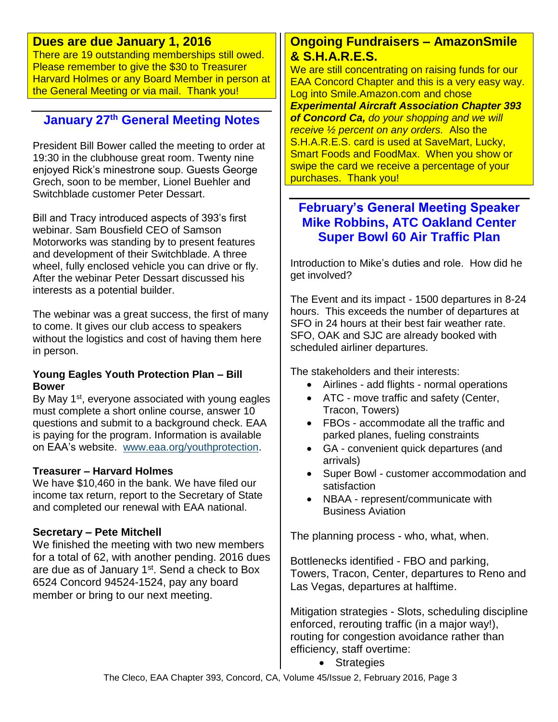## **Dues are due January 1, 2016**

There are 19 outstanding memberships still owed. Please remember to give the \$30 to Treasurer Harvard Holmes or any Board Member in person at the General Meeting or via mail. Thank you!

# **January 27th General Meeting Notes**

President Bill Bower called the meeting to order at 19:30 in the clubhouse great room. Twenty nine enjoyed Rick's minestrone soup. Guests George Grech, soon to be member, Lionel Buehler and Switchblade customer Peter Dessart.

Bill and Tracy introduced aspects of 393's first webinar. Sam Bousfield CEO of Samson Motorworks was standing by to present features and development of their Switchblade. A three wheel, fully enclosed vehicle you can drive or fly. After the webinar Peter Dessart discussed his interests as a potential builder.

The webinar was a great success, the first of many to come. It gives our club access to speakers without the logistics and cost of having them here in person.

#### **Young Eagles Youth Protection Plan – Bill Bower**

By May  $1<sup>st</sup>$ , everyone associated with young eagles must complete a short online course, answer 10 questions and submit to a background check. EAA is paying for the program. Information is available on EAA's website. [www.eaa.org/youthprotection.](http://www.eaa.org/youthprotection)

#### **Treasurer – Harvard Holmes**

We have \$10,460 in the bank. We have filed our income tax return, report to the Secretary of State and completed our renewal with EAA national.

#### **Secretary – Pete Mitchell**

We finished the meeting with two new members for a total of 62, with another pending. 2016 dues are due as of January 1<sup>st</sup>. Send a check to Box 6524 Concord 94524-1524, pay any board member or bring to our next meeting.

## **Ongoing Fundraisers – AmazonSmile & S.H.A.R.E.S.**

We are still concentrating on raising funds for our EAA Concord Chapter and this is a very easy way. Log into Smile.Amazon.com and chose *Experimental Aircraft Association Chapter 393 of Concord Ca, do your shopping and we will receive ½ percent on any orders.* Also the S.H.A.R.E.S. card is used at SaveMart, Lucky, Smart Foods and FoodMax. When you show or swipe the card we receive a percentage of your purchases. Thank you!

## **February's General Meeting Speaker Mike Robbins, ATC Oakland Center Super Bowl 60 Air Traffic Plan**

Introduction to Mike's duties and role. How did he get involved?

The Event and its impact - 1500 departures in 8-24 hours. This exceeds the number of departures at SFO in 24 hours at their best fair weather rate. SFO, OAK and SJC are already booked with scheduled airliner departures.

The stakeholders and their interests:

- Airlines add flights normal operations
- ATC move traffic and safety (Center, Tracon, Towers)
- FBOs accommodate all the traffic and parked planes, fueling constraints
- GA convenient quick departures (and arrivals)
- Super Bowl customer accommodation and satisfaction
- NBAA represent/communicate with Business Aviation

The planning process - who, what, when.

Bottlenecks identified - FBO and parking, Towers, Tracon, Center, departures to Reno and Las Vegas, departures at halftime.

Mitigation strategies - Slots, scheduling discipline enforced, rerouting traffic (in a major way!), routing for congestion avoidance rather than efficiency, staff overtime:

• Strategies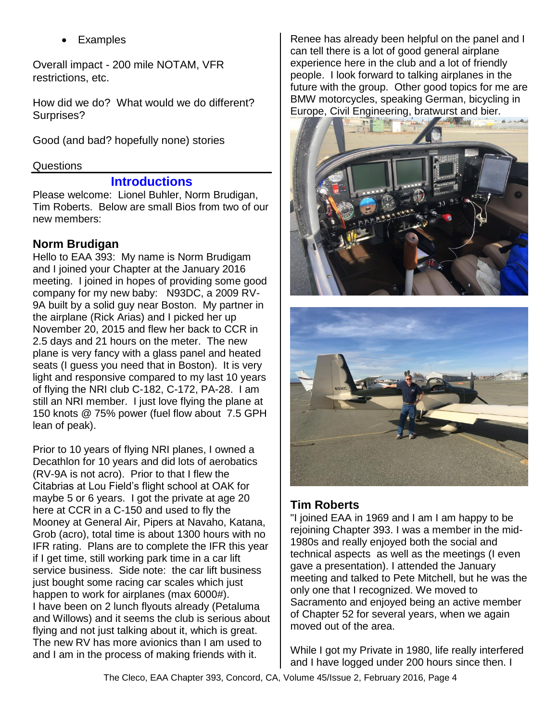Examples

Overall impact - 200 mile NOTAM, VFR restrictions, etc.

How did we do? What would we do different? Surprises?

Good (and bad? hopefully none) stories

#### Questions

### **Introductions**

Please welcome: Lionel Buhler, Norm Brudigan, Tim Roberts. Below are small Bios from two of our new members:

## **Norm Brudigan**

Hello to EAA 393: My name is Norm Brudigam and I joined your Chapter at the January 2016 meeting. I joined in hopes of providing some good company for my new baby: N93DC, a 2009 RV-9A built by a solid guy near Boston. My partner in the airplane (Rick Arias) and I picked her up November 20, 2015 and flew her back to CCR in 2.5 days and 21 hours on the meter. The new plane is very fancy with a glass panel and heated seats (I guess you need that in Boston). It is very light and responsive compared to my last 10 years of flying the NRI club C-182, C-172, PA-28. I am still an NRI member. I just love flying the plane at 150 knots @ 75% power (fuel flow about 7.5 GPH lean of peak).

Prior to 10 years of flying NRI planes, I owned a Decathlon for 10 years and did lots of aerobatics (RV-9A is not acro). Prior to that I flew the Citabrias at Lou Field's flight school at OAK for maybe 5 or 6 years. I got the private at age 20 here at CCR in a C-150 and used to fly the Mooney at General Air, Pipers at Navaho, Katana, Grob (acro), total time is about 1300 hours with no IFR rating. Plans are to complete the IFR this year if I get time, still working park time in a car lift service business. Side note: the car lift business just bought some racing car scales which just happen to work for airplanes (max 6000#). I have been on 2 lunch flyouts already (Petaluma and Willows) and it seems the club is serious about flying and not just talking about it, which is great. The new RV has more avionics than I am used to and I am in the process of making friends with it.

Renee has already been helpful on the panel and I can tell there is a lot of good general airplane experience here in the club and a lot of friendly people. I look forward to talking airplanes in the future with the group. Other good topics for me are BMW motorcycles, speaking German, bicycling in Europe, Civil Engineering, bratwurst and bier.





## **Tim Roberts**

"I joined EAA in 1969 and I am I am happy to be rejoining Chapter 393. I was a member in the mid-1980s and really enjoyed both the social and technical aspects as well as the meetings (I even gave a presentation). I attended the January meeting and talked to Pete Mitchell, but he was the only one that I recognized. We moved to Sacramento and enjoyed being an active member of Chapter 52 for several years, when we again moved out of the area.

While I got my Private in 1980, life really interfered and I have logged under 200 hours since then. I

The Cleco, EAA Chapter 393, Concord, CA, Volume 45/Issue 2, February 2016, Page 4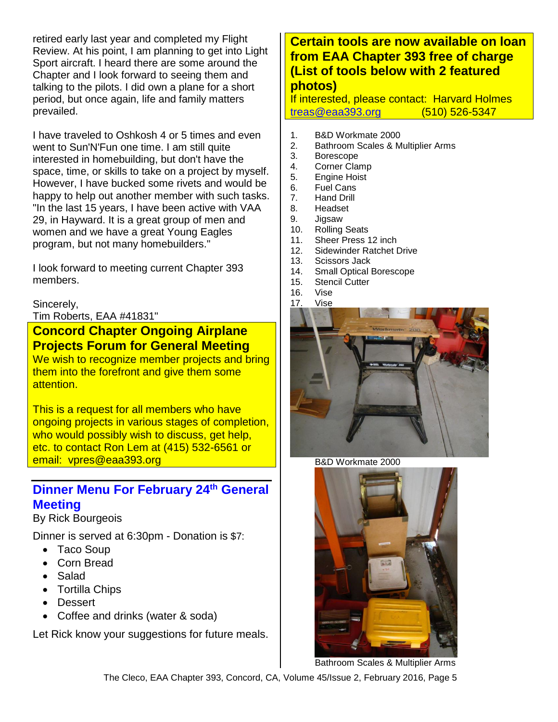retired early last year and completed my Flight Review. At his point, I am planning to get into Light Sport aircraft. I heard there are some around the Chapter and I look forward to seeing them and talking to the pilots. I did own a plane for a short period, but once again, life and family matters prevailed.

I have traveled to Oshkosh 4 or 5 times and even went to Sun'N'Fun one time. I am still quite interested in homebuilding, but don't have the space, time, or skills to take on a project by myself. However, I have bucked some rivets and would be happy to help out another member with such tasks. "In the last 15 years, I have been active with VAA 29, in Hayward. It is a great group of men and women and we have a great Young Eagles program, but not many homebuilders."

I look forward to meeting current Chapter 393 members.

#### Sincerely,

Tim Roberts, EAA #41831"

**Concord Chapter Ongoing Airplane Projects Forum for General Meeting**

We wish to recognize member projects and bring them into the forefront and give them some attention.

This is a request for all members who have ongoing projects in various stages of completion, who would possibly wish to discuss, get help, etc. to contact Ron Lem at (415) 532-6561 or email: vpres@eaa393.org

## **Dinner Menu For February 24th General Meeting**

By Rick Bourgeois

Dinner is served at 6:30pm - Donation is \$7:

- Taco Soup
- Corn Bread
- Salad
- Tortilla Chips
- Dessert
- Coffee and drinks (water & soda)

Let Rick know your suggestions for future meals.

## **Certain tools are now available on loan from EAA Chapter 393 free of charge (List of tools below with 2 featured photos)**

If interested, please contact: Harvard Holmes [treas@eaa393.org](mailto:treas@eaa393.org) (510) 526-5347

- 1. B&D Workmate 2000
- 2. Bathroom Scales & Multiplier Arms
- 3. Borescope
- 4. Corner Clamp
- 5. Engine Hoist
- 6. Fuel Cans
- 7. Hand Drill
- 8. Headset
- 9. Jigsaw
- 10. Rolling Seats
- 11. Sheer Press 12 inch
- 12. Sidewinder Ratchet Drive
- 13. Scissors Jack
- 14. Small Optical Borescope
- 15. Stencil Cutter
- 16. Vise



B&D Workmate 2000



Bathroom Scales & Multiplier Arms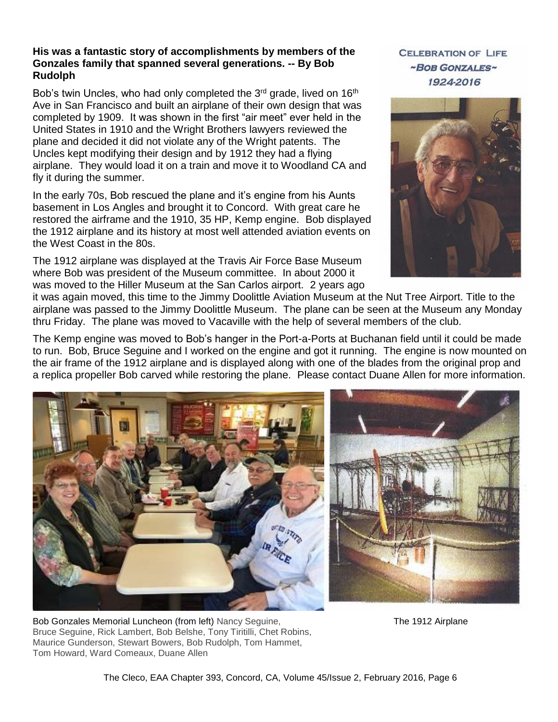#### **His was a fantastic story of accomplishments by members of the Gonzales family that spanned several generations. -- By Bob Rudolph**

Bob's twin Uncles, who had only completed the 3<sup>rd</sup> grade, lived on 16<sup>th</sup> Ave in San Francisco and built an airplane of their own design that was completed by 1909. It was shown in the first "air meet" ever held in the United States in 1910 and the Wright Brothers lawyers reviewed the plane and decided it did not violate any of the Wright patents. The Uncles kept modifying their design and by 1912 they had a flying airplane. They would load it on a train and move it to Woodland CA and fly it during the summer.

In the early 70s, Bob rescued the plane and it's engine from his Aunts basement in Los Angles and brought it to Concord. With great care he restored the airframe and the 1910, 35 HP, Kemp engine. Bob displayed the 1912 airplane and its history at most well attended aviation events on the West Coast in the 80s.

The 1912 airplane was displayed at the Travis Air Force Base Museum where Bob was president of the Museum committee. In about 2000 it was moved to the Hiller Museum at the San Carlos airport. 2 years ago **CELEBRATION OF LIFE** ~BOB GONZALES~ 1924-2016



it was again moved, this time to the Jimmy Doolittle Aviation Museum at the Nut Tree Airport. Title to the airplane was passed to the Jimmy Doolittle Museum. The plane can be seen at the Museum any Monday thru Friday. The plane was moved to Vacaville with the help of several members of the club.

The Kemp engine was moved to Bob's hanger in the Port-a-Ports at Buchanan field until it could be made to run. Bob, Bruce Seguine and I worked on the engine and got it running. The engine is now mounted on the air frame of the 1912 airplane and is displayed along with one of the blades from the original prop and a replica propeller Bob carved while restoring the plane. Please contact Duane Allen for more information.



Bob Gonzales Memorial Luncheon (from left) Nancy Seguine, The 1912 Airplane Constant Constant Constant Constant Bruce Seguine, Rick Lambert, Bob Belshe, Tony Tiritilli, Chet Robins, Maurice Gunderson, Stewart Bowers, Bob Rudolph, Tom Hammet, Tom Howard, Ward Comeaux, Duane Allen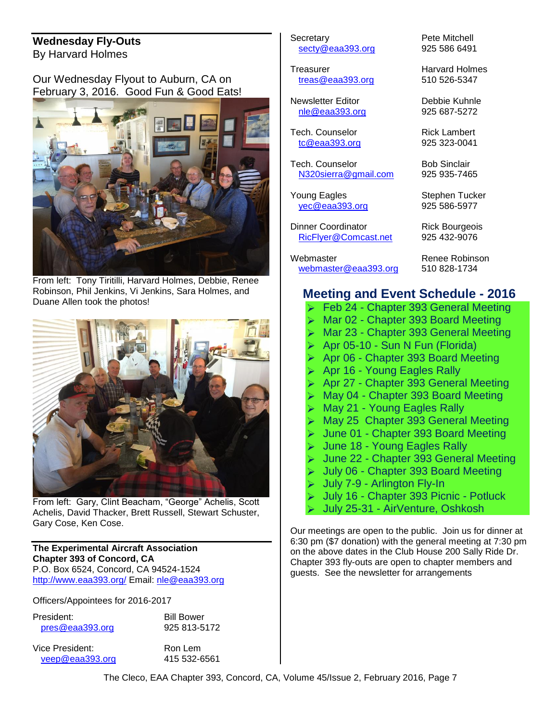#### **Wednesday Fly-Outs** By Harvard Holmes

Our Wednesday Flyout to Auburn, CA on February 3, 2016. Good Fun & Good Eats!



From left: Tony Tiritilli, Harvard Holmes, Debbie, Renee Robinson, Phil Jenkins, Vi Jenkins, Sara Holmes, and Duane Allen took the photos!



From left: Gary, Clint Beacham, "George" Achelis, Scott Achelis, David Thacker, Brett Russell, Stewart Schuster, Gary Cose, Ken Cose.

#### **The Experimental Aircraft Association Chapter 393 of Concord, CA** P.O. Box 6524, Concord, CA 94524-1524 <http://www.eaa393.org/> Email: [nle@eaa393.org](mailto:nle@eaa393.org)

Officers/Appointees for 2016-2017

| President:      |  |
|-----------------|--|
| pres@eaa393.org |  |

**Bill Bower** 925 813-5172

Vice President: Ron Lem [veep@eaa393.org](mailto:veep@eaa393.org) 415 532-6561

Secretary **Pete Mitchell** [secty@eaa393.org](mailto:secty@eaa393.org) 925 586 6491

Treasurer **Harvard Holmes** [treas@eaa393.org](mailto:treas@eaa393.org) 510 526-5347

Newsletter Editor Debbie Kuhnle [nle@eaa393.org](mailto:nle@eaa393.org) 925 687-5272

Tech. Counselor **Rick Lambert** [tc@eaa393.org](mailto:tc@eaa393.org) 925 323-0041

Tech. Counselor **Bob Sinclair** [N320sierra@gmail.com](mailto:N320sierra@gmail.com) 925 935-7465

**Young Eagles** Stephen Tucker [yec@eaa393.org](mailto:yec@eaa393.org) 925 586-5977

Dinner Coordinator **Rick Bourgeois** [RicFlyer@Comcast.net](mailto:RicFlyer@Comcast.net) 925 432-9076

Webmaster **Renee Robinson** [webmaster@eaa393.org](mailto:webmaster@eaa393.org) 510 828-1734

## **Meeting and Event Schedule - 2016**

- Feb 24 Chapter 393 General Meeting
- Mar 02 Chapter 393 Board Meeting
- > Mar 23 Chapter 393 General Meeting
- $\triangleright$  Apr 05-10 Sun N Fun (Florida)
- Apr 06 Chapter 393 Board Meeting
- **► Apr 16 Young Eagles Rally**
- ▶ Apr 27 Chapter 393 General Meeting
- May 04 Chapter 393 Board Meeting
- May 21 Young Eagles Rally
- ▶ May 25 Chapter 393 General Meeting
- June 01 Chapter 393 Board Meeting
- Sombor 18 Young Eagles Rally
- June 22 Chapter 393 General Meeting
- July 06 Chapter 393 Board Meeting
- July 7-9 Arlington Fly-In
- July 16 Chapter 393 Picnic Potluck
- July 25-31 AirVenture, Oshkosh

Our meetings are open to the public. Join us for dinner at 6:30 pm (\$7 donation) with the general meeting at 7:30 pm on the above dates in the Club House 200 Sally Ride Dr. Chapter 393 fly-outs are open to chapter members and guests. See the newsletter for arrangements

The Cleco, EAA Chapter 393, Concord, CA, Volume 45/Issue 2, February 2016, Page 7